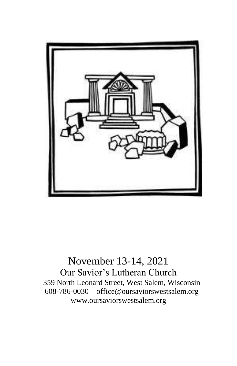

November 13-14, 2021 Our Savior's Lutheran Church 359 North Leonard Street, West Salem, Wisconsin 608-786-0030 office@oursaviorswestsalem.org [www.oursaviorswestsalem.org](http://www.oursaviorswestsalem.org/)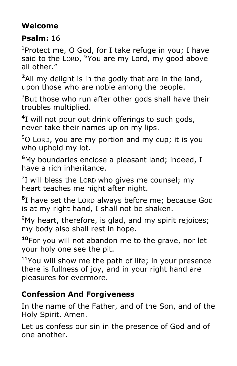# **Welcome**

# **Psalm:** 16

<sup>1</sup>Protect me, O God, for I take refuge in you; I have said to the LORD, "You are my Lord, my good above all other."

**<sup>2</sup>**All my delight is in the godly that are in the land, upon those who are noble among the people.

 $3$ But those who run after other gods shall have their troubles multiplied.

**4** I will not pour out drink offerings to such gods, never take their names up on my lips.

<sup>5</sup>O LORD, you are my portion and my cup; it is you who uphold my lot.

**<sup>6</sup>**My boundaries enclose a pleasant land; indeed, I have a rich inheritance.

 $7$ I will bless the Loro who gives me counsel; my heart teaches me night after night.

**8** I have set the LORD always before me; because God is at my right hand, I shall not be shaken.

 $9$ My heart, therefore, is glad, and my spirit rejoices; my body also shall rest in hope.

**<sup>10</sup>**For you will not abandon me to the grave, nor let your holy one see the pit.

 $11$ You will show me the path of life; in your presence there is fullness of joy, and in your right hand are pleasures for evermore.

# **Confession And Forgiveness**

In the name of the Father, and of the Son, and of the Holy Spirit. Amen.

Let us confess our sin in the presence of God and of one another.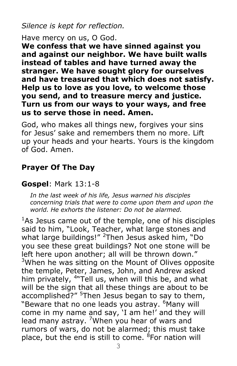*Silence is kept for reflection.*

Have mercy on us, O God.

**We confess that we have sinned against you and against our neighbor. We have built walls instead of tables and have turned away the stranger. We have sought glory for ourselves and have treasured that which does not satisfy. Help us to love as you love, to welcome those you send, and to treasure mercy and justice. Turn us from our ways to your ways, and free us to serve those in need. Amen.**

God, who makes all things new, forgives your sins for Jesus' sake and remembers them no more. Lift up your heads and your hearts. Yours is the kingdom of God. Amen.

# **Prayer Of The Day**

### **Gospel**: Mark 13:1-8

*In the last week of his life, Jesus warned his disciples concerning trials that were to come upon them and upon the world. He exhorts the listener: Do not be alarmed.*

 $1$ As Jesus came out of the temple, one of his disciples said to him, "Look, Teacher, what large stones and what large buildings!" <sup>2</sup>Then Jesus asked him, "Do you see these great buildings? Not one stone will be left here upon another; all will be thrown down." <sup>3</sup>When he was sitting on the Mount of Olives opposite the temple, Peter, James, John, and Andrew asked him privately, <sup>4</sup>"Tell us, when will this be, and what will be the sign that all these things are about to be accomplished?" <sup>5</sup>Then Jesus began to say to them, "Beware that no one leads you astray. <sup>6</sup>Many will come in my name and say, 'I am he!' and they will lead many astray. <sup>7</sup>When you hear of wars and rumors of wars, do not be alarmed; this must take place, but the end is still to come. <sup>8</sup>For nation will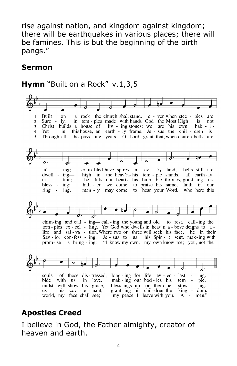rise against nation, and kingdom against kingdom; there will be earthquakes in various places; there will be famines. This is but the beginning of the birth pangs."

#### **Sermon**

### **Hymn** "Built on a Rock" v.1,3,5



### **Apostles Creed**

I believe in God, the Father almighty, creator of heaven and earth.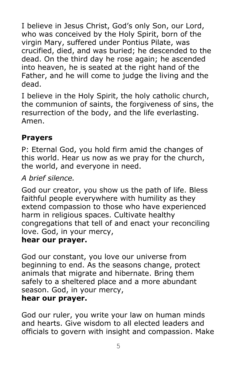I believe in Jesus Christ, God's only Son, our Lord, who was conceived by the Holy Spirit, born of the virgin Mary, suffered under Pontius Pilate, was crucified, died, and was buried; he descended to the dead. On the third day he rose again; he ascended into heaven, he is seated at the right hand of the Father, and he will come to judge the living and the dead.

I believe in the Holy Spirit, the holy catholic church, the communion of saints, the forgiveness of sins, the resurrection of the body, and the life everlasting. Amen.

### **Prayers**

P: Eternal God, you hold firm amid the changes of this world. Hear us now as we pray for the church, the world, and everyone in need.

*A brief silence.*

God our creator, you show us the path of life. Bless faithful people everywhere with humility as they extend compassion to those who have experienced harm in religious spaces. Cultivate healthy congregations that tell of and enact your reconciling love. God, in your mercy,

#### **hear our prayer.**

God our constant, you love our universe from beginning to end. As the seasons change, protect animals that migrate and hibernate. Bring them safely to a sheltered place and a more abundant season. God, in your mercy,

#### **hear our prayer.**

God our ruler, you write your law on human minds and hearts. Give wisdom to all elected leaders and officials to govern with insight and compassion. Make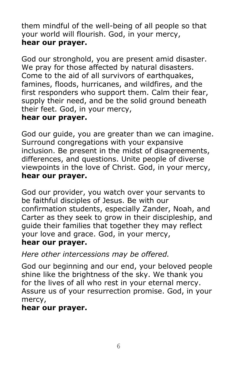them mindful of the well-being of all people so that your world will flourish. God, in your mercy, **hear our prayer.**

God our stronghold, you are present amid disaster. We pray for those affected by natural disasters. Come to the aid of all survivors of earthquakes, famines, floods, hurricanes, and wildfires, and the first responders who support them. Calm their fear, supply their need, and be the solid ground beneath their feet. God, in your mercy,

#### **hear our prayer.**

God our guide, you are greater than we can imagine. Surround congregations with your expansive inclusion. Be present in the midst of disagreements, differences, and questions. Unite people of diverse viewpoints in the love of Christ. God, in your mercy, **hear our prayer.**

God our provider, you watch over your servants to be faithful disciples of Jesus. Be with our confirmation students, especially Zander, Noah, and Carter as they seek to grow in their discipleship, and guide their families that together they may reflect your love and grace. God, in your mercy,

#### **hear our prayer.**

*Here other intercessions may be offered.*

God our beginning and our end, your beloved people shine like the brightness of the sky. We thank you for the lives of all who rest in your eternal mercy. Assure us of your resurrection promise. God, in your mercy,

### **hear our prayer.**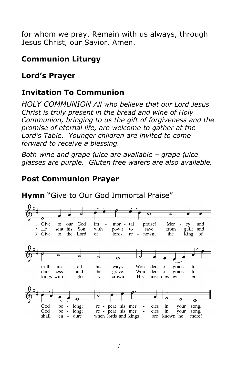for whom we pray. Remain with us always, through Jesus Christ, our Savior. Amen.

## **Communion Liturgy**

# **Lord's Prayer**

# **Invitation To Communion**

*HOLY COMMUNION All who believe that our Lord Jesus Christ is truly present in the bread and wine of Holy Communion, bringing to us the gift of forgiveness and the promise of eternal life, are welcome to gather at the Lord's Table. Younger children are invited to come forward to receive a blessing.* 

*Both wine and grape juice are available – grape juice glasses are purple. Gluten free wafers are also available.* 

## **Post Communion Prayer**

kings with

glo



**Hymn** "Give to Our God Immortal Praise"

ry



crown.

His

mer-cies ev

er